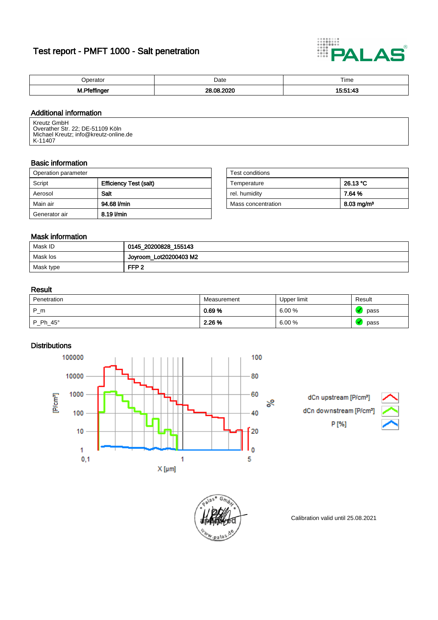# Test report - PMFT 1000 - Salt penetration



| `neratr… | Date                     | Time               |
|----------|--------------------------|--------------------|
| .<br>м.  | $-0.002$<br>ററ<br>$\sim$ | -44<br>.<br>л<br>. |

## Additional information

Kreutz GmbH Overather Str. 22; DE-51109 Köln Michael Kreutz; info@kreutz-online.de K-11407

#### Basic information

| Operation parameter |                               | Test conditions    |                       |
|---------------------|-------------------------------|--------------------|-----------------------|
| Script              | <b>Efficiency Test (salt)</b> | Temperature        | 26.13 °C              |
| Aerosol             | Salt                          | rel. humidity      | 7.64%                 |
| Main air            | 94.68 l/min                   | Mass concentration | $8.03 \text{ mg/m}^3$ |
| Generator air       | 8.19 l/min                    |                    |                       |

| Test conditions    |                          |
|--------------------|--------------------------|
| Temperature        | 26.13 °C                 |
| rel. humidity      | 7.64%                    |
| Mass concentration | $8.03$ mg/m <sup>3</sup> |

## Mask information

| Mask ID   | 0145_20200828_155143     |
|-----------|--------------------------|
| Mask los  | ' Joyroom_Lot20200403 M2 |
| Mask type | FFP <sub>2</sub>         |

### Result

| Penetration     | Measurement | Upper limit | Result |
|-----------------|-------------|-------------|--------|
| $P_{m}$         | 0.69%       | 6.00%       | pass   |
| $P_Ph_45^\circ$ | 2.26 %      | 6.00%       | pass   |

## **Distributions**

100000 100 10000 80 [P/cm<sup>3</sup>] 1000 60 వ్ 100 40 10 -20 Ιo 1  $0,1$ 5 1  $X$  [µm]

dCn upstream [P/cm<sup>3</sup>] dCn downstream [P/cm P [%]





Calibration valid until 25.08.2021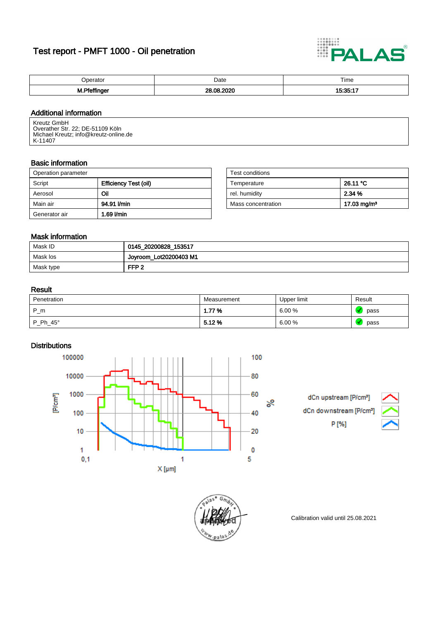# Test report - PMFT 1000 - Oil penetration



| זר                                                                                          | Date       | Time     |
|---------------------------------------------------------------------------------------------|------------|----------|
| .                                                                                           | .          |          |
| --<br>м.<br>the contract of the contract of the contract of the contract of the contract of | $ -$<br>იი | 15.05.47 |

## Additional information

Kreutz GmbH Overather Str. 22; DE-51109 Köln Michael Kreutz; info@kreutz-online.de K-11407

#### Basic information

| Operation parameter |                       | Test conditions    |                         |  |
|---------------------|-----------------------|--------------------|-------------------------|--|
| Script              | Efficiency Test (oil) | Temperature        | 26.11 °C                |  |
| Aerosol             | Oil                   | rel. humidity      | 2.34 %                  |  |
| Main air            | 94.91 l/min           | Mass concentration | 17.03 mg/m <sup>3</sup> |  |
| Generator air       | 1.69 l/min            |                    |                         |  |

| Test conditions    |                        |
|--------------------|------------------------|
| Temperature        | 26.11 °C               |
| rel. humidity      | 2.34 %                 |
| Mass concentration | $17.03 \text{ mg/m}^3$ |

## Mask information

| Mask ID   | 0145_20200828_153517     |
|-----------|--------------------------|
| Mask los  | ' Joyroom_Lot20200403 M1 |
| Mask type | FFP <sub>2</sub>         |

### Result

| Penetration     | Measurement | Upper limit | Result |
|-----------------|-------------|-------------|--------|
| $P_{m}$         | 1.77 %      | 6.00%       | pass   |
| $P_Ph_45^\circ$ | $5.12\%$    | 6.00%       | pass   |

## **Distributions**

100000 100 10000 80 [P/cm<sup>3</sup>] 1000 60 వ్ 100 40 10 20 1 0  $0,1$ 5 1  $X$  [µm]

dCn upstream [P/cm<sup>3</sup>] dCn downstream [P/cm P [%]





Calibration valid until 25.08.2021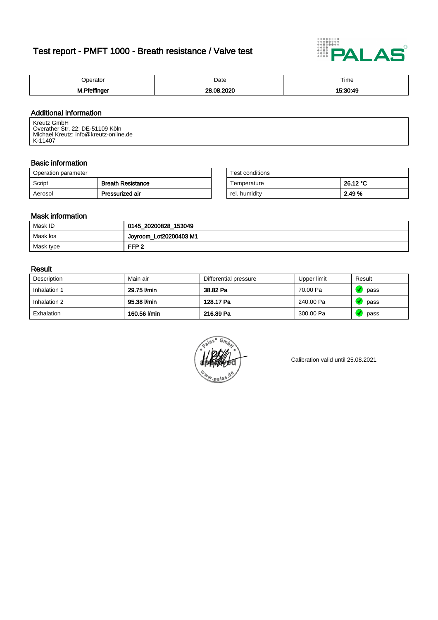# Test report - PMFT 1000 - Breath resistance / Valve test



| $\lambda$<br>. | Date | Time           |
|----------------|------|----------------|
| M.PTemng       | ---- | 15.20.40<br>т. |

### Additional information

Kreutz GmbH Overather Str. 22; DE-51109 Köln Michael Kreutz; info@kreutz-online.de K-11407

## Basic information

| Operation parameter |                          | Test conditions |          |
|---------------------|--------------------------|-----------------|----------|
| Script              | <b>Breath Resistance</b> | Femperature     | 26.12 °C |
| Aerosol             | Pressurized air          | rel. humiditv   | 2.49 %   |

| Test conditions |          |
|-----------------|----------|
| Temperature     | 26.12 °C |
| rel. humidity   | 2.49 %   |

### Mask information

| Mask ID   | 0145_20200828_153049   |
|-----------|------------------------|
| Mask los  | Joyroom_Lot20200403 M1 |
| Mask type | FFP <sub>2</sub>       |

#### Result

| Description  | Main air     | Differential pressure | Upper limit | Result |
|--------------|--------------|-----------------------|-------------|--------|
| Inhalation 1 | 29.75 l/min  | 38.82 Pa              | 70.00 Pa    | pass   |
| Inhalation 2 | 95.38 l/min  | 128.17 Pa             | 240.00 Pa   | pass   |
| Exhalation   | 160.56 l/min | 216.89 Pa             | 300.00 Pa   | pass   |



Calibration valid until 25.08.2021